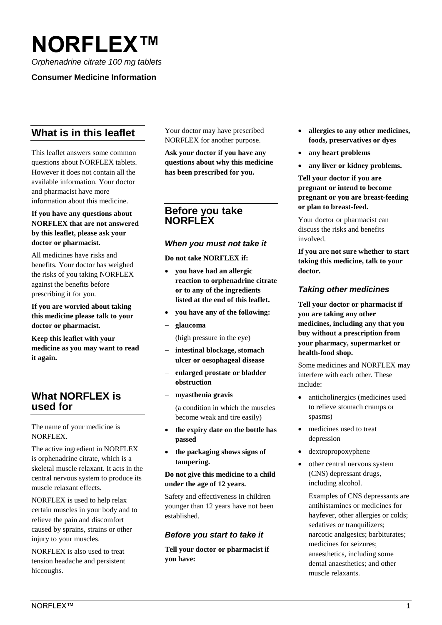# **NORFLEX™**

*Orphenadrine citrate 100 mg tablets*

### **Consumer Medicine Information**

# **What is in this leaflet**

This leaflet answers some common questions about NORFLEX tablets. However it does not contain all the available information. Your doctor and pharmacist have more information about this medicine.

#### **If you have any questions about NORFLEX that are not answered by this leaflet, please ask your doctor or pharmacist.**

All medicines have risks and benefits. Your doctor has weighed the risks of you taking NORFLEX against the benefits before prescribing it for you.

**If you are worried about taking this medicine please talk to your doctor or pharmacist.**

**Keep this leaflet with your medicine as you may want to read it again.** 

## **What NORFLEX is used for**

The name of your medicine is NORFLEX.

The active ingredient in NORFLEX is orphenadrine citrate, which is a skeletal muscle relaxant. It acts in the central nervous system to produce its muscle relaxant effects.

NORFLEX is used to help relax certain muscles in your body and to relieve the pain and discomfort caused by sprains, strains or other injury to your muscles.

NORFLEX is also used to treat tension headache and persistent hiccoughs.

Your doctor may have prescribed NORFLEX for another purpose.

**Ask your doctor if you have any questions about why this medicine has been prescribed for you.**

## **Before you take NORFLEX**

#### *When you must not take it*

**Do not take NORFLEX if:**

- **you have had an allergic reaction to orphenadrine citrate or to any of the ingredients listed at the end of this leaflet.**
- **you have any of the following:**
- **glaucoma** 
	- (high pressure in the eye)
- **intestinal blockage, stomach ulcer or oesophageal disease**
- **enlarged prostate or bladder obstruction**
- **myasthenia gravis**

(a condition in which the muscles become weak and tire easily)

- **the expiry date on the bottle has passed**
- **the packaging shows signs of tampering.**

#### **Do not give this medicine to a child under the age of 12 years.**

Safety and effectiveness in children younger than 12 years have not been established.

## *Before you start to take it*

**Tell your doctor or pharmacist if you have:**

- **allergies to any other medicines, foods, preservatives or dyes**
- **any heart problems**
- **any liver or kidney problems.**

**Tell your doctor if you are pregnant or intend to become pregnant or you are breast-feeding or plan to breast-feed.** 

Your doctor or pharmacist can discuss the risks and benefits involved.

**If you are not sure whether to start taking this medicine, talk to your doctor.**

## *Taking other medicines*

**Tell your doctor or pharmacist if you are taking any other medicines, including any that you buy without a prescription from your pharmacy, supermarket or health-food shop.** 

Some medicines and NORFLEX may interfere with each other. These include:

- anticholinergics (medicines used to relieve stomach cramps or spasms)
- medicines used to treat depression
- dextropropoxyphene
- other central nervous system (CNS) depressant drugs, including alcohol.

Examples of CNS depressants are antihistamines or medicines for hayfever, other allergies or colds; sedatives or tranquilizers; narcotic analgesics; barbiturates; medicines for seizures; anaesthetics, including some dental anaesthetics; and other muscle relaxants.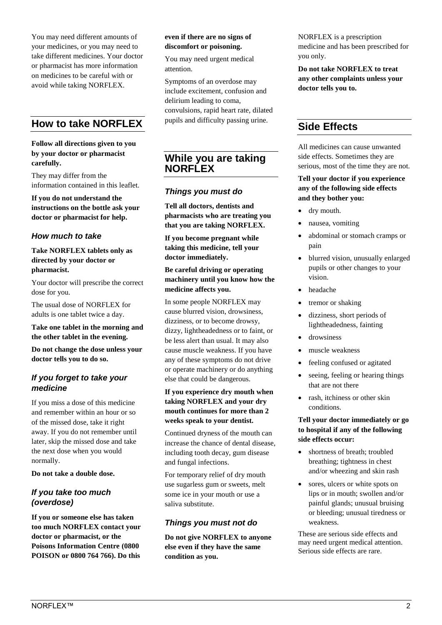You may need different amounts of your medicines, or you may need to take different medicines. Your doctor or pharmacist has more information on medicines to be careful with or avoid while taking NORFLEX.

# **How to take NORFLEX**

#### **Follow all directions given to you by your doctor or pharmacist carefully.**

They may differ from the information contained in this leaflet.

**If you do not understand the instructions on the bottle ask your doctor or pharmacist for help.**

## *How much to take*

#### **Take NORFLEX tablets only as directed by your doctor or pharmacist.**

Your doctor will prescribe the correct dose for you.

The usual dose of NORFLEX for adults is one tablet twice a day.

#### **Take one tablet in the morning and the other tablet in the evening.**

**Do not change the dose unless your doctor tells you to do so.**

## *If you forget to take your medicine*

If you miss a dose of this medicine and remember within an hour or so of the missed dose, take it right away. If you do not remember until later, skip the missed dose and take the next dose when you would normally.

**Do not take a double dose.**

## *If you take too much (overdose)*

**If you or someone else has taken too much NORFLEX contact your doctor or pharmacist, or the Poisons Information Centre (0800 POISON or 0800 764 766). Do this** 

#### **even if there are no signs of discomfort or poisoning.**

You may need urgent medical attention.

Symptoms of an overdose may include excitement, confusion and delirium leading to coma, convulsions, rapid heart rate, dilated pupils and difficulty passing urine.

**While you are taking NORFLEX**

## *Things you must do*

**Tell all doctors, dentists and pharmacists who are treating you that you are taking NORFLEX.**

**If you become pregnant while taking this medicine, tell your doctor immediately.**

**Be careful driving or operating machinery until you know how the medicine affects you.**

In some people NORFLEX may cause blurred vision, drowsiness, dizziness, or to become drowsy, dizzy, lightheadedness or to faint, or be less alert than usual. It may also cause muscle weakness. If you have any of these symptoms do not drive or operate machinery or do anything else that could be dangerous.

#### **If you experience dry mouth when taking NORFLEX and your dry mouth continues for more than 2 weeks speak to your dentist.**

Continued dryness of the mouth can increase the chance of dental disease, including tooth decay, gum disease and fungal infections.

For temporary relief of dry mouth use sugarless gum or sweets, melt some ice in your mouth or use a saliva substitute.

## *Things you must not do*

**Do not give NORFLEX to anyone else even if they have the same condition as you.**

NORFLEX is a prescription medicine and has been prescribed for you only.

**Do not take NORFLEX to treat any other complaints unless your doctor tells you to.**

# **Side Effects**

All medicines can cause unwanted side effects. Sometimes they are serious, most of the time they are not.

#### **Tell your doctor if you experience any of the following side effects and they bother you:**

- dry mouth.
- nausea, vomiting
- abdominal or stomach cramps or pain
- blurred vision, unusually enlarged pupils or other changes to your vision.
- headache
- tremor or shaking
- dizziness, short periods of lightheadedness, fainting
- drowsiness
- muscle weakness
- feeling confused or agitated
- seeing, feeling or hearing things that are not there
- rash, itchiness or other skin conditions.

#### **Tell your doctor immediately or go to hospital if any of the following side effects occur:**

- shortness of breath; troubled breathing; tightness in chest and/or wheezing and skin rash
- sores, ulcers or white spots on lips or in mouth; swollen and/or painful glands; unusual bruising or bleeding; unusual tiredness or weakness.

These are serious side effects and may need urgent medical attention. Serious side effects are rare.